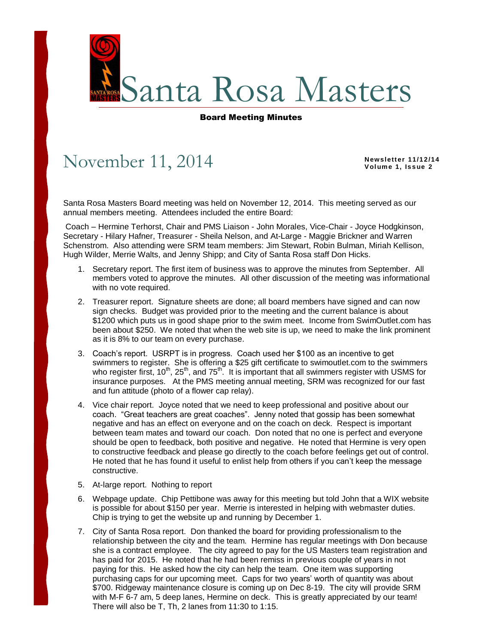

## Board Meeting Minutes

## November 11, 2014

**Newsletter 11/12/14 Vol ume 1, Is s ue 2**

Santa Rosa Masters Board meeting was held on November 12, 2014. This meeting served as our annual members meeting. Attendees included the entire Board:

Coach – Hermine Terhorst, Chair and PMS Liaison - John Morales, Vice-Chair - Joyce Hodgkinson, Secretary - Hilary Hafner, Treasurer - Sheila Nelson, and At-Large - Maggie Brickner and Warren Schenstrom. Also attending were SRM team members: Jim Stewart, Robin Bulman, Miriah Kellison, Hugh Wilder, Merrie Walts, and Jenny Shipp; and City of Santa Rosa staff Don Hicks.

- 1. Secretary report. The first item of business was to approve the minutes from September. All members voted to approve the minutes. All other discussion of the meeting was informational with no vote required.
- 2. Treasurer report. Signature sheets are done; all board members have signed and can now sign checks. Budget was provided prior to the meeting and the current balance is about \$1200 which puts us in good shape prior to the swim meet. Income from SwimOutlet.com has been about \$250. We noted that when the web site is up, we need to make the link prominent as it is 8% to our team on every purchase.
- 3. Coach's report. USRPT is in progress. Coach used her \$100 as an incentive to get swimmers to register. She is offering a \$25 gift certificate to swimoutlet.com to the swimmers who register first,  $10^{th}$ ,  $25^{th}$ , and  $75^{th}$ . It is important that all swimmers register with USMS for insurance purposes. At the PMS meeting annual meeting, SRM was recognized for our fast and fun attitude (photo of a flower cap relay).
- 4. Vice chair report. Joyce noted that we need to keep professional and positive about our coach. "Great teachers are great coaches". Jenny noted that gossip has been somewhat negative and has an effect on everyone and on the coach on deck. Respect is important between team mates and toward our coach. Don noted that no one is perfect and everyone should be open to feedback, both positive and negative. He noted that Hermine is very open to constructive feedback and please go directly to the coach before feelings get out of control. He noted that he has found it useful to enlist help from others if you can't keep the message constructive.
- 5. At-large report. Nothing to report
- 6. Webpage update. Chip Pettibone was away for this meeting but told John that a WIX website is possible for about \$150 per year. Merrie is interested in helping with webmaster duties. Chip is trying to get the website up and running by December 1.
- 7. City of Santa Rosa report. Don thanked the board for providing professionalism to the relationship between the city and the team. Hermine has regular meetings with Don because she is a contract employee. The city agreed to pay for the US Masters team registration and has paid for 2015. He noted that he had been remiss in previous couple of years in not paying for this. He asked how the city can help the team. One item was supporting purchasing caps for our upcoming meet. Caps for two years' worth of quantity was about \$700. Ridgeway maintenance closure is coming up on Dec 8-19. The city will provide SRM with M-F 6-7 am, 5 deep lanes, Hermine on deck. This is greatly appreciated by our team! There will also be T, Th, 2 lanes from 11:30 to 1:15.